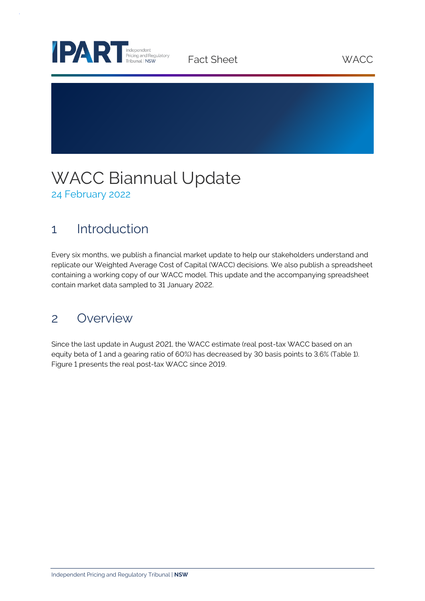

Fact Sheet WACC

# WACC Biannual Update 24 February 2022

## 1 Introduction

Every six months, we publish a financial market update to help our stakeholders understand and replicate our Weighted Average Cost of Capital (WACC) decisions. We also publish a spreadsheet containing a working copy of our WACC model. This update and the accompanying spreadsheet contain market data sampled to 31 January 2022.

### 2 Overview

Since the last update in August 2021, the WACC estimate (real post-tax WACC based on an equity beta of 1 and a gearing ratio of 60%) has decreased by 30 basis points to 3.6% (Table 1). Figure 1 presents the real post-tax WACC since 2019.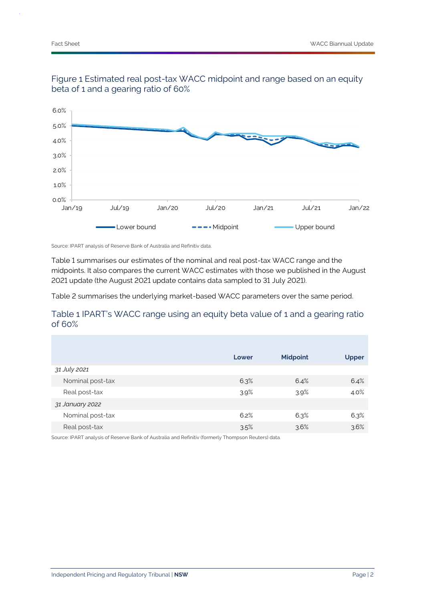



Source: IPART analysis of Reserve Bank of Australia and Refinitiv data.

Table 1 summarises our estimates of the nominal and real post-tax WACC range and the midpoints. It also compares the current WACC estimates with those we published in the August 2021 update (the August 2021 update contains data sampled to 31 July 2021).

Table 2 summarises the underlying market-based WACC parameters over the same period.

### Table 1 IPART's WACC range using an equity beta value of 1 and a gearing ratio of 60%

|                  | Lower | <b>Midpoint</b> | <b>Upper</b> |
|------------------|-------|-----------------|--------------|
| 31 July 2021     |       |                 |              |
| Nominal post-tax | 6.3%  | 6.4%            | 6.4%         |
| Real post-tax    | 3.9%  | 3.9%            | 4.0%         |
| 31 January 2022  |       |                 |              |
| Nominal post-tax | 6.2%  | 6.3%            | 6.3%         |
| Real post-tax    | 3.5%  | 3.6%            | 3.6%         |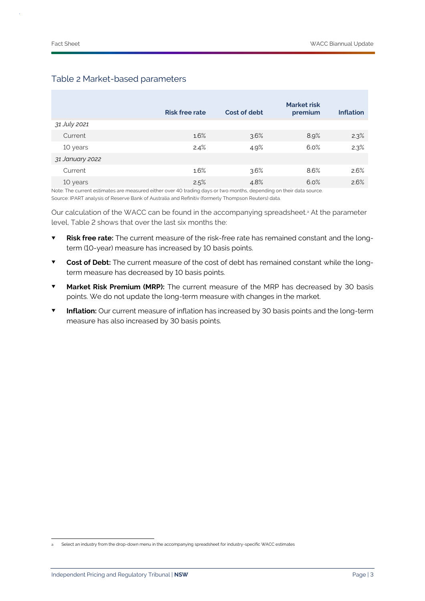|                 | <b>Risk free rate</b> | Cost of debt | <b>Market risk</b><br>premium | <b>Inflation</b> |
|-----------------|-----------------------|--------------|-------------------------------|------------------|
| 31 July 2021    |                       |              |                               |                  |
| Current         | 1.6%                  | 3.6%         | 8.9%                          | 2.3%             |
| 10 years        | 2.4%                  | 4.9%         | 6.0%                          | 2.3%             |
| 31 January 2022 |                       |              |                               |                  |
| Current         | 1.6%                  | 3.6%         | 8.6%                          | 2.6%             |
| 10 years        | 2.5%                  | 4.8%         | 6.0%                          | 2.6%             |

### Table 2 Market-based parameters

Note: The current estimates are measured either over 40 trading days or two months, depending on their data source.

Source: IPART analysis of Reserve Bank of Australia and Refinitiv (formerly Thompson Reuters) data.

Our calculation of the WACC can be found in the accompanying spreadsheet.<sup>a</sup> At the parameter level, Table 2 shows that over the last six months the:

- **Risk free rate:** The current measure of the risk-free rate has remained constant and the longterm (10-year) measure has increased by 10 basis points.
- **Cost of Debt:** The current measure of the cost of debt has remained constant while the longterm measure has decreased by 10 basis points.
- **Market Risk Premium (MRP):** The current measure of the MRP has decreased by 30 basis points. We do not update the long-term measure with changes in the market.
- **Inflation:** Our current measure of inflation has increased by 30 basis points and the long-term measure has also increased by 30 basis points.

Select an industry from the drop-down menu in the accompanying spreadsheet for industry-specific WACC estimates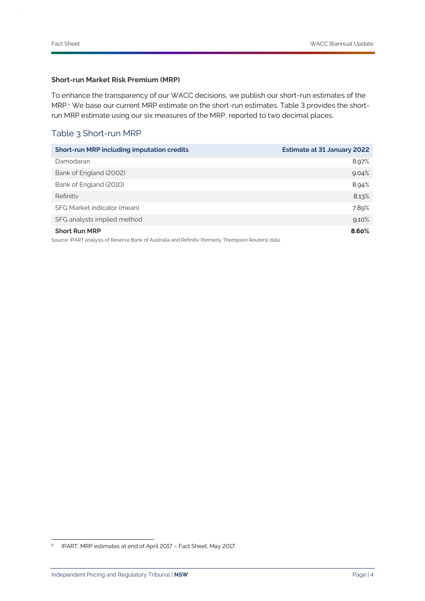#### **Short-run Market Risk Premium (MRP)**

To enhance the transparency of our WACC decisions, we publish our short-run estimates of the MRP.<sup>b</sup> We base our current MRP estimate on the short-run estimates. Table 3 provides the shortrun MRP estimate using our six measures of the MRP, reported to two decimal places.

### Table 3 Short-run MRP

| <b>Short-run MRP including imputation credits</b>                                                   | <b>Estimate at 31 January 2022</b> |
|-----------------------------------------------------------------------------------------------------|------------------------------------|
| Damodaran                                                                                           | 8.97%                              |
| Bank of England (2002)                                                                              | 9.04%                              |
| Bank of England (2010)                                                                              | 8.94%                              |
| Refinitiv                                                                                           | 8.13%                              |
| SFG Market indicator (mean)                                                                         | 7.89%                              |
| SFG analysts implied method                                                                         | 9.10%                              |
| <b>Short Run MRP</b>                                                                                | 8.60%                              |
| Source: IPART analysis of Reserve Bank of Australia and Refinitiv (formerly Thompson Reuters) data. |                                    |

**b** IPART, MRP estimates at end of April 2017 - Fact Sheet, May 2017.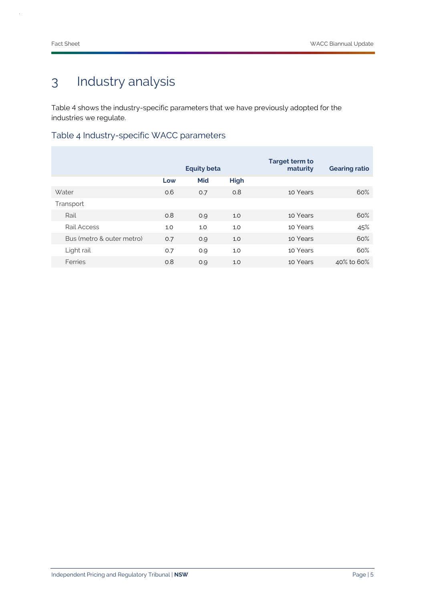# 3 Industry analysis

Table 4 shows the industry-specific parameters that we have previously adopted for the industries we regulate.

Table 4 Industry-specific WACC parameters

|                           | <b>Equity beta</b> |     | Target term to<br>maturity | <b>Gearing ratio</b> |            |
|---------------------------|--------------------|-----|----------------------------|----------------------|------------|
|                           | Low                | Mid | <b>High</b>                |                      |            |
| <b>Water</b>              | 0.6                | 0.7 | 0.8                        | 10 Years             | 60%        |
| Transport                 |                    |     |                            |                      |            |
| Rail                      | O.8                | O.Q | 1.0                        | 10 Years             | 60%        |
| Rail Access               | 1.0                | 1.0 | 1.0                        | 10 Years             | 45%        |
| Bus (metro & outer metro) | O.7                | 0.9 | 1.0                        | 10 Years             | 60%        |
| Light rail                | 0.7                | 0.9 | 1.0                        | 10 Years             | 60%        |
| Ferries                   | 0.8                | 0.9 | 1.0                        | 10 Years             | 40% to 60% |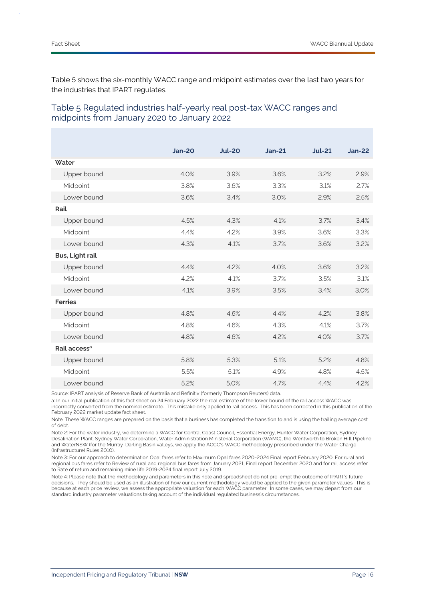Table 5 shows the six-monthly WACC range and midpoint estimates over the last two years for the industries that IPART regulates.

|                          | <b>Jan-20</b> | <b>Jul-20</b> | $Jan-21$ | <b>Jul-21</b> | $Jan-22$ |
|--------------------------|---------------|---------------|----------|---------------|----------|
| Water                    |               |               |          |               |          |
| Upper bound              | 4.0%          | 3.9%          | 3.6%     | 3.2%          | 2.9%     |
| Midpoint                 | 3.8%          | 3.6%          | 3.3%     | 3.1%          | 2.7%     |
| Lower bound              | 3.6%          | 3.4%          | 3.0%     | 2.9%          | 2.5%     |
| Rail                     |               |               |          |               |          |
| Upper bound              | 4.5%          | 4.3%          | 4.1%     | 3.7%          | 3.4%     |
| Midpoint                 | 4.4%          | 4.2%          | 3.9%     | 3.6%          | 3.3%     |
| Lower bound              | 4.3%          | 4.1%          | 3.7%     | 3.6%          | 3.2%     |
| <b>Bus, Light rail</b>   |               |               |          |               |          |
| Upper bound              | 4.4%          | 4.2%          | 4.0%     | 3.6%          | 3.2%     |
| Midpoint                 | 4.2%          | 4.1%          | 3.7%     | 3.5%          | 3.1%     |
| Lower bound              | 4.1%          | 3.9%          | 3.5%     | 3.4%          | 3.0%     |
| <b>Ferries</b>           |               |               |          |               |          |
| Upper bound              | 4.8%          | 4.6%          | 4.4%     | 4.2%          | 3.8%     |
| Midpoint                 | 4.8%          | 4.6%          | 4.3%     | 4.1%          | 3.7%     |
| Lower bound              | 4.8%          | 4.6%          | 4.2%     | 4.0%          | 3.7%     |
| Rail access <sup>a</sup> |               |               |          |               |          |
| Upper bound              | 5.8%          | 5.3%          | 5.1%     | 5.2%          | 4.8%     |
| Midpoint                 | 5.5%          | 5.1%          | 4.9%     | 4.8%          | 4.5%     |
| Lower bound              | 5.2%          | 5.0%          | 4.7%     | 4.4%          | 4.2%     |

### Table 5 Regulated industries half-yearly real post-tax WACC ranges and midpoints from January 2020 to January 2022

Source: IPART analysis of Reserve Bank of Australia and Refinitiv (formerly Thompson Reuters) data.

a: In our initial publication of this fact sheet on 24 February 2022 the real estimate of the lower bound of the rail access WACC was incorrectly converted from the nominal estimate. This mistake only applied to rail access. This has been corrected in this publication of the February 2022 market update fact sheet.

Note: These WACC ranges are prepared on the basis that a business has completed the transition to and is using the trailing average cost of debt.

Note 2: For the water industry, we determine a WACC for Central Coast Council, Essential Energy, Hunter Water Corporation, Sydney Desalination Plant, Sydney Water Corporation, Water Administration Ministerial Corporation (WAMC), the Wentworth to Broken Hill Pipeline and WaterNSW (for the Murray-Darling Basin valleys, we apply the ACCC's WACC methodology prescribed under the Water Charge (Infrastructure) Rules 2010).

Note 3: For our approach to determination Opal fares refer to Maximum Opal fares 2020-2024 Final report February 2020. For rural and regional bus fares refer to Review of rural and regional bus fares from January 2021, Final report December 2020 and for rail access refer to Rate of return and remaining mine life 2019-2024 final report July 2019.

Note 4: Please note that the methodology and parameters in this note and spreadsheet do not pre-empt the outcome of IPART's future decisions. They should be used as an illustration of how our current methodology would be applied to the given parameter values. This is because at each price review, we assess the appropriate valuation for each WACC parameter. In some cases, we may depart from our standard industry parameter valuations taking account of the individual regulated business's circumstances.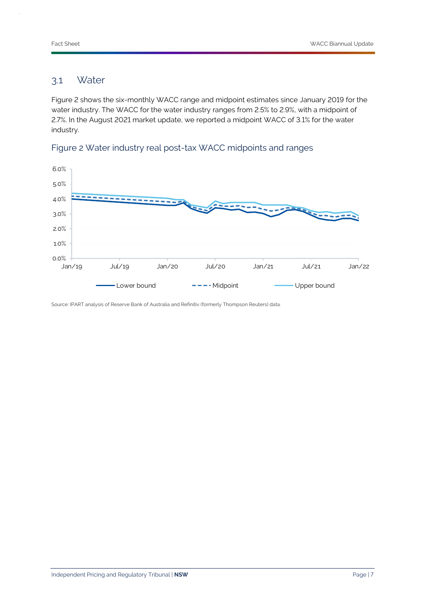### 3.1 Water

Figure 2 shows the six-monthly WACC range and midpoint estimates since January 2019 for the water industry. The WACC for the water industry ranges from 2.5% to 2.9%, with a midpoint of 2.7%. In the August 2021 market update, we reported a midpoint WACC of 3.1% for the water industry.



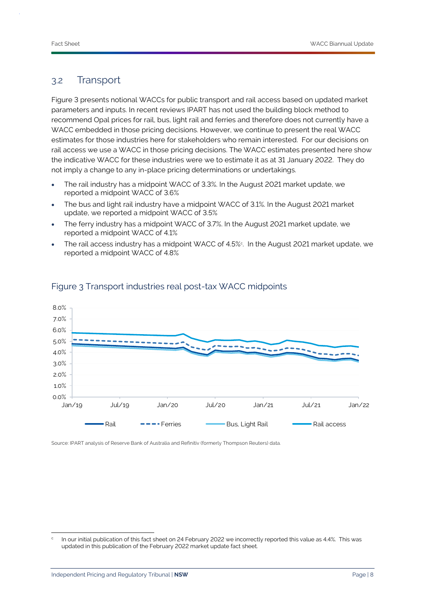### 3.2 Transport

Figure 3 presents notional WACCs for public transport and rail access based on updated market parameters and inputs. In recent reviews IPART has not used the building block method to recommend Opal prices for rail, bus, light rail and ferries and therefore does not currently have a WACC embedded in those pricing decisions. However, we continue to present the real WACC estimates for those industries here for stakeholders who remain interested. For our decisions on rail access we use a WACC in those pricing decisions. The WACC estimates presented here show the indicative WACC for these industries were we to estimate it as at 31 January 2022. They do not imply a change to any in-place pricing determinations or undertakings.

- The rail industry has a midpoint WACC of 3.3%. In the August 2021 market update, we reported a midpoint WACC of 3.6%
- The bus and light rail industry have a midpoint WACC of 3.1%. In the August 2021 market update, we reported a midpoint WACC of 3.5%
- The ferry industry has a midpoint WACC of 3.7%. In the August 2021 market update, we reported a midpoint WACC of 4.1%
- The rail access industry has a midpoint WACC of 4.5% $\scriptstyle\rm c$  . In the August 2021 market update, we reported a midpoint WACC of 4.8%



### Figure 3 Transport industries real post-tax WACC midpoints

c In our initial publication of this fact sheet on 24 February 2022 we incorrectly reported this value as 4.4%. This was updated in this publication of the February 2022 market update fact sheet.